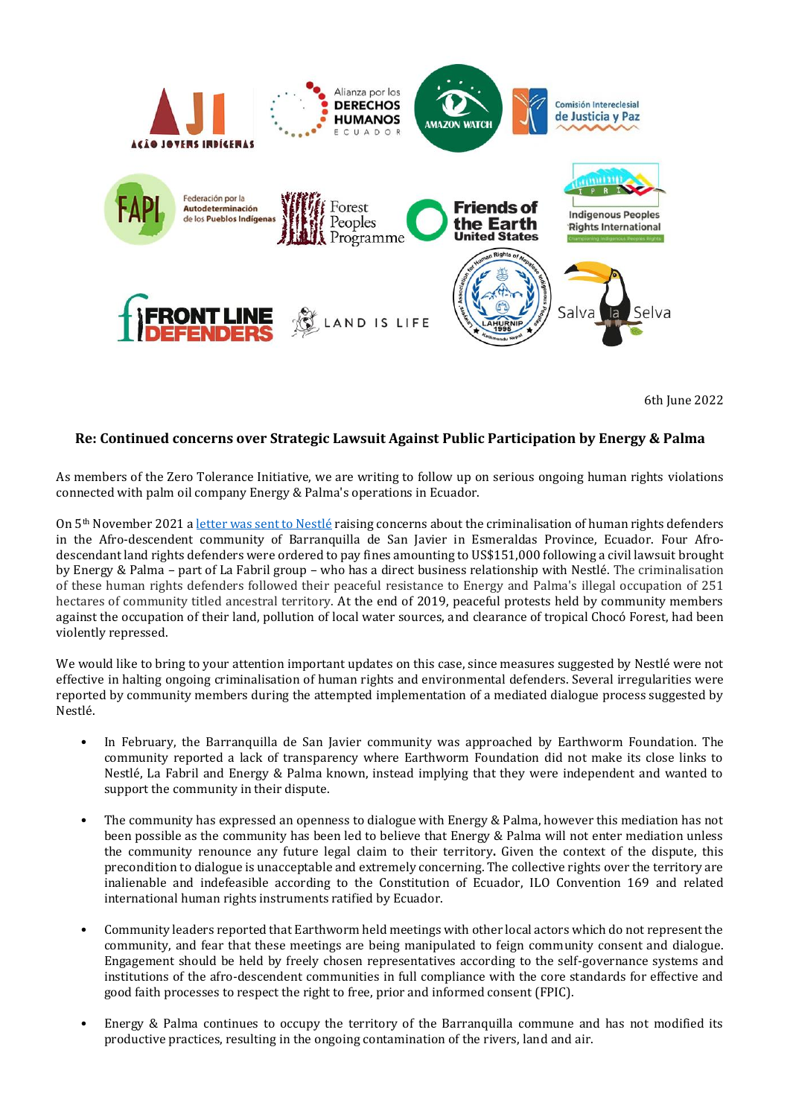

6th June 2022

## **Re: Continued concerns over Strategic Lawsuit Against Public Participation by Energy & Palma**

As members of the Zero Tolerance Initiative, we are writing to follow up on serious ongoing human rights violations connected with palm oil company Energy & Palma's operations in Ecuador.

On 5<sup>th</sup> November 2021 a [letter was sent to Nestlé](https://www.forestpeoples.org/sites/default/files/documents/Open%20letter%20to%20consumer%20goods%20companies%20re%20concerns%20over%20SLAPP%20by%20palm%20oil%20company%20in%20Ecuador.pdf) raising concerns about the criminalisation of human rights defenders in the Afro-descendent community of Barranquilla de San Javier in Esmeraldas Province, Ecuador. Four Afrodescendant land rights defenders were ordered to pay fines amounting to US\$151,000 following a civil lawsuit brought by Energy & Palma – part of La Fabril group – who has a direct business relationship with Nestlé. The criminalisation of these human rights defenders followed their peaceful resistance to Energy and Palma's illegal occupation of 251 hectares of community titled ancestral territory. At the end of 2019, peaceful protests held by community members against the occupation of their land, pollution of local water sources, and clearance of tropical Chocó Forest, had been violently repressed.

We would like to bring to your attention important updates on this case, since measures suggested by Nestlé were not effective in halting ongoing criminalisation of human rights and environmental defenders. Several irregularities were reported by community members during the attempted implementation of a mediated dialogue process suggested by Nestlé.

- In February, the Barranquilla de San Javier community was approached by Earthworm Foundation. The community reported a lack of transparency where Earthworm Foundation did not make its close links to Nestlé, La Fabril and Energy & Palma known, instead implying that they were independent and wanted to support the community in their dispute.
- The community has expressed an openness to dialogue with Energy & Palma, however this mediation has not been possible as the community has been led to believe that Energy & Palma will not enter mediation unless the community renounce any future legal claim to their territory**.** Given the context of the dispute, this precondition to dialogue is unacceptable and extremely concerning. The collective rights over the territory are inalienable and indefeasible according to the Constitution of Ecuador, ILO Convention 169 and related international human rights instruments ratified by Ecuador.
- Community leaders reported that Earthworm held meetings with other local actors which do not represent the community, and fear that these meetings are being manipulated to feign community consent and dialogue. Engagement should be held by freely chosen representatives according to the self-governance systems and institutions of the afro-descendent communities in full compliance with the core standards for effective and good faith processes to respect the right to free, prior and informed consent (FPIC).
- Energy & Palma continues to occupy the territory of the Barranquilla commune and has not modified its productive practices, resulting in the ongoing contamination of the rivers, land and air.